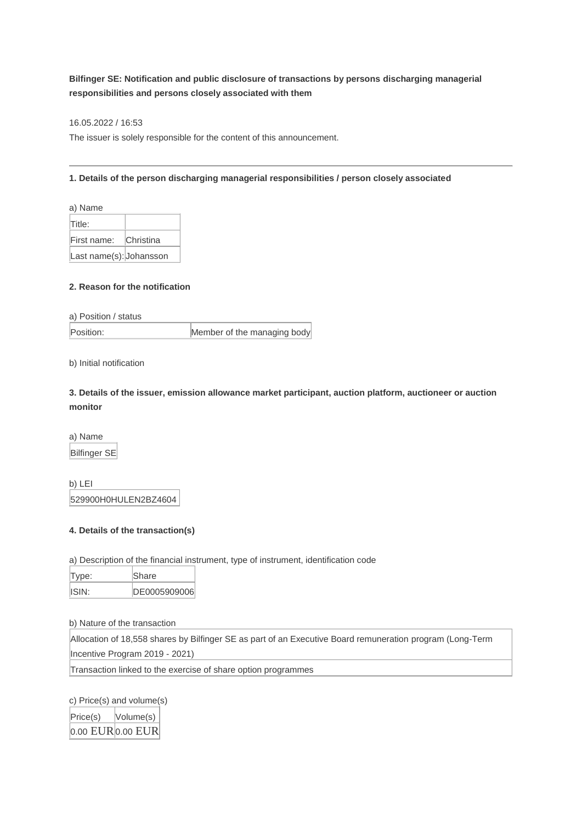## **Bilfinger SE: Notification and public disclosure of transactions by persons discharging managerial responsibilities and persons closely associated with them**

16.05.2022 / 16:53

The issuer is solely responsible for the content of this announcement.

## **1. Details of the person discharging managerial responsibilities / person closely associated**

| a) Name                 |           |
|-------------------------|-----------|
| Title:                  |           |
| First name:             | Christina |
| Last name(s): Johansson |           |

## **2. Reason for the notification**

a) Position / status

Position: Member of the managing body

b) Initial notification

**3. Details of the issuer, emission allowance market participant, auction platform, auctioneer or auction monitor**

a) Name Bilfinger SE

b) LEI 529900H0HULEN2BZ4604

## **4. Details of the transaction(s)**

a) Description of the financial instrument, type of instrument, identification code

| Type: | Share         |
|-------|---------------|
| ISIN: | IDE0005909006 |

b) Nature of the transaction

Allocation of 18,558 shares by Bilfinger SE as part of an Executive Board remuneration program (Long-Term Incentive Program 2019 - 2021)

Transaction linked to the exercise of share option programmes

c) Price(s) and volume(s) Price(s) Volume(s)  $0.00$  EUR $0.00$  EUR